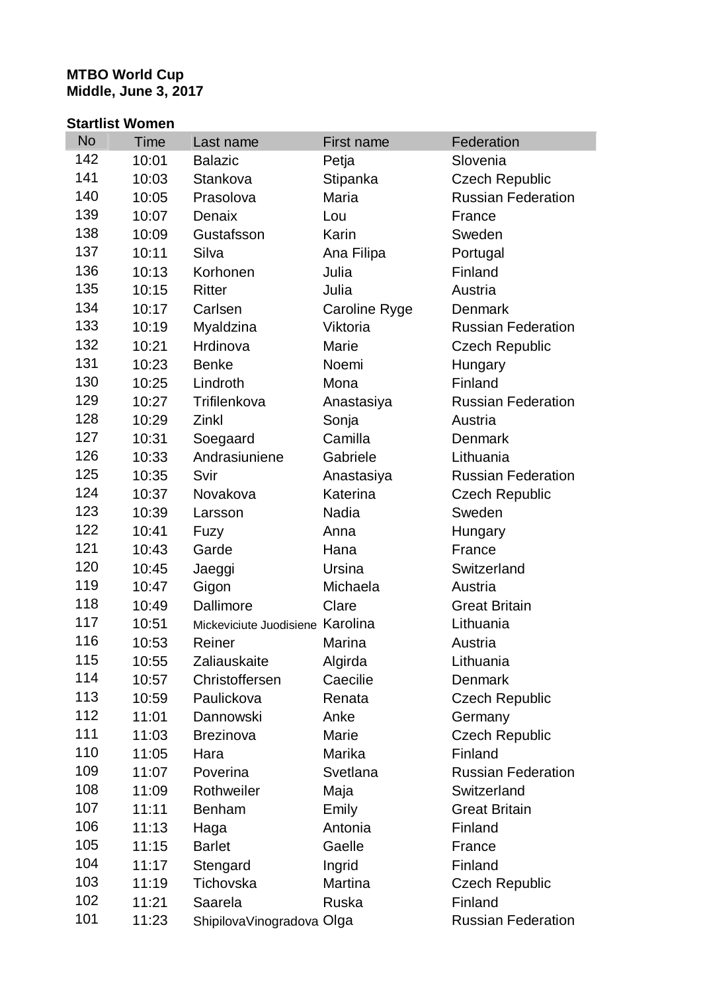## **MTBO World Cup Middle, June 3, 2017**

## **Startlist Women**

| <b>No</b> | <b>Time</b> | Last name                        | First name    | Federation                |
|-----------|-------------|----------------------------------|---------------|---------------------------|
| 142       | 10:01       | <b>Balazic</b>                   | Petja         | Slovenia                  |
| 141       | 10:03       | Stankova                         | Stipanka      | <b>Czech Republic</b>     |
| 140       | 10:05       | Prasolova                        | Maria         | <b>Russian Federation</b> |
| 139       | 10:07       | Denaix                           | Lou           | France                    |
| 138       | 10:09       | Gustafsson                       | Karin         | Sweden                    |
| 137       | 10:11       | Silva                            | Ana Filipa    | Portugal                  |
| 136       | 10:13       | Korhonen                         | Julia         | Finland                   |
| 135       | 10:15       | <b>Ritter</b>                    | Julia         | Austria                   |
| 134       | 10:17       | Carlsen                          | Caroline Ryge | Denmark                   |
| 133       | 10:19       | Myaldzina                        | Viktoria      | <b>Russian Federation</b> |
| 132       | 10:21       | Hrdinova                         | Marie         | <b>Czech Republic</b>     |
| 131       | 10:23       | <b>Benke</b>                     | Noemi         | Hungary                   |
| 130       | 10:25       | Lindroth                         | Mona          | Finland                   |
| 129       | 10:27       | Trifilenkova                     | Anastasiya    | <b>Russian Federation</b> |
| 128       | 10:29       | Zinkl                            | Sonja         | Austria                   |
| 127       | 10:31       | Soegaard                         | Camilla       | Denmark                   |
| 126       | 10:33       | Andrasiuniene                    | Gabriele      | Lithuania                 |
| 125       | 10:35       | Svir                             | Anastasiya    | <b>Russian Federation</b> |
| 124       | 10:37       | Novakova                         | Katerina      | <b>Czech Republic</b>     |
| 123       | 10:39       | Larsson                          | Nadia         | Sweden                    |
| 122       | 10:41       | Fuzy                             | Anna          | Hungary                   |
| 121       | 10:43       | Garde                            | Hana          | France                    |
| 120       | 10:45       | Jaeggi                           | Ursina        | Switzerland               |
| 119       | 10:47       | Gigon                            | Michaela      | Austria                   |
| 118       | 10:49       | Dallimore                        | Clare         | <b>Great Britain</b>      |
| 117       | 10:51       | Mickeviciute Juodisiene Karolina |               | Lithuania                 |
| 116       | 10:53       | Reiner                           | Marina        | Austria                   |
| 115       | 10:55       | Zaliauskaite                     | Algirda       | Lithuania                 |
| 114       | 10:57       | Christoffersen                   | Caecilie      | Denmark                   |
| 113       | 10:59       | Paulickova                       | Renata        | <b>Czech Republic</b>     |
| 112       | 11:01       | Dannowski                        | Anke          | Germany                   |
| 111       | 11:03       | <b>Brezinova</b>                 | Marie         | <b>Czech Republic</b>     |
| 110       | 11:05       | Hara                             | Marika        | Finland                   |
| 109       | 11:07       | Poverina                         | Svetlana      | <b>Russian Federation</b> |
| 108       | 11:09       | Rothweiler                       | Maja          | Switzerland               |
| 107       | 11:11       | <b>Benham</b>                    | Emily         | <b>Great Britain</b>      |
| 106       | 11:13       | Haga                             | Antonia       | Finland                   |
| 105       | 11:15       | <b>Barlet</b>                    | Gaelle        | France                    |
| 104       | 11:17       | Stengard                         | Ingrid        | Finland                   |
| 103       | 11:19       | Tichovska                        | Martina       | <b>Czech Republic</b>     |
| 102       | 11:21       | Saarela                          | Ruska         | Finland                   |
| 101       | 11:23       | ShipilovaVinogradova Olga        |               | <b>Russian Federation</b> |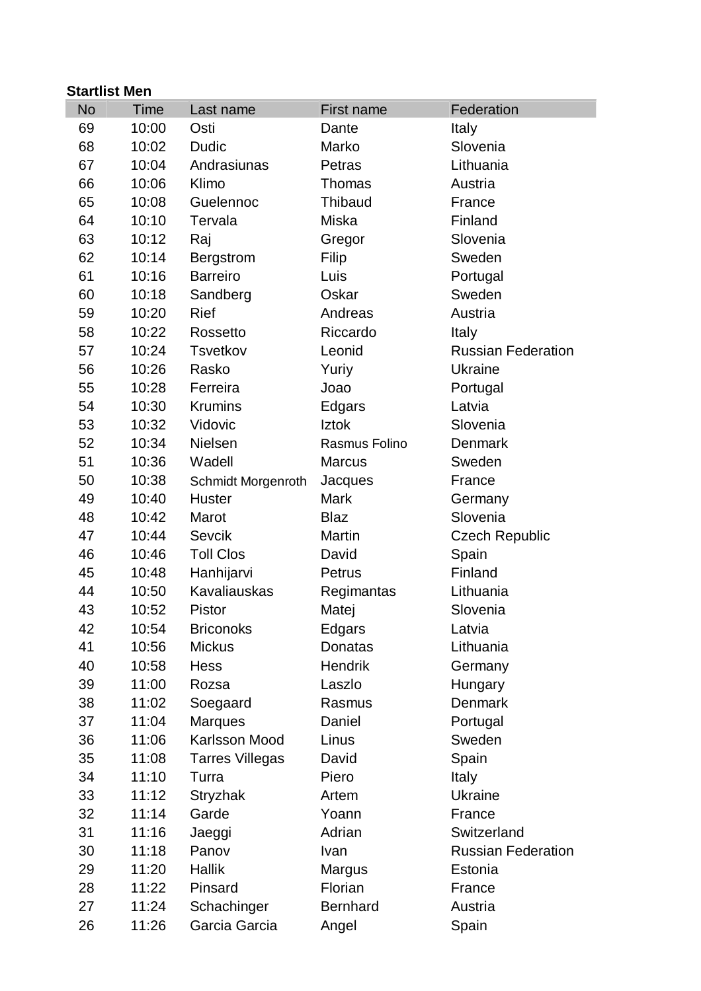| <b>Startlist Men</b> |       |                        |                 |                           |  |  |  |
|----------------------|-------|------------------------|-----------------|---------------------------|--|--|--|
| <b>No</b>            | Time  | Last name              | First name      | Federation                |  |  |  |
| 69                   | 10:00 | Osti                   | Dante           | Italy                     |  |  |  |
| 68                   | 10:02 | Dudic                  | Marko           | Slovenia                  |  |  |  |
| 67                   | 10:04 | Andrasiunas            | Petras          | Lithuania                 |  |  |  |
| 66                   | 10:06 | Klimo                  | Thomas          | Austria                   |  |  |  |
| 65                   | 10:08 | Guelennoc              | <b>Thibaud</b>  | France                    |  |  |  |
| 64                   | 10:10 | Tervala                | Miska           | Finland                   |  |  |  |
| 63                   | 10:12 | Raj                    | Gregor          | Slovenia                  |  |  |  |
| 62                   | 10:14 | Bergstrom              | Filip           | Sweden                    |  |  |  |
| 61                   | 10:16 | <b>Barreiro</b>        | Luis            | Portugal                  |  |  |  |
| 60                   | 10:18 | Sandberg               | Oskar           | Sweden                    |  |  |  |
| 59                   | 10:20 | <b>Rief</b>            | Andreas         | Austria                   |  |  |  |
| 58                   | 10:22 | Rossetto               | Riccardo        | Italy                     |  |  |  |
| 57                   | 10:24 | <b>Tsvetkov</b>        | Leonid          | <b>Russian Federation</b> |  |  |  |
| 56                   | 10:26 | Rasko                  | Yuriy           | <b>Ukraine</b>            |  |  |  |
| 55                   | 10:28 | Ferreira               | Joao            | Portugal                  |  |  |  |
| 54                   | 10:30 | <b>Krumins</b>         | Edgars          | Latvia                    |  |  |  |
| 53                   | 10:32 | Vidovic                | <b>Iztok</b>    | Slovenia                  |  |  |  |
| 52                   | 10:34 | <b>Nielsen</b>         | Rasmus Folino   | Denmark                   |  |  |  |
| 51                   | 10:36 | Wadell                 | <b>Marcus</b>   | Sweden                    |  |  |  |
| 50                   | 10:38 | Schmidt Morgenroth     | Jacques         | France                    |  |  |  |
| 49                   | 10:40 | <b>Huster</b>          | <b>Mark</b>     | Germany                   |  |  |  |
| 48                   | 10:42 | Marot                  | <b>Blaz</b>     | Slovenia                  |  |  |  |
| 47                   | 10:44 | <b>Sevcik</b>          | Martin          | <b>Czech Republic</b>     |  |  |  |
| 46                   | 10:46 | <b>Toll Clos</b>       | David           | Spain                     |  |  |  |
| 45                   | 10:48 | Hanhijarvi             | Petrus          | Finland                   |  |  |  |
| 44                   | 10:50 | <b>Kavaliauskas</b>    | Regimantas      | Lithuania                 |  |  |  |
| 43                   | 10:52 | Pistor                 | Matej           | Slovenia                  |  |  |  |
| 42                   | 10:54 | <b>Briconoks</b>       | Edgars          | Latvia                    |  |  |  |
| 41                   | 10:56 | <b>Mickus</b>          | <b>Donatas</b>  | Lithuania                 |  |  |  |
| 40                   | 10:58 | <b>Hess</b>            | <b>Hendrik</b>  | Germany                   |  |  |  |
| 39                   | 11:00 | Rozsa                  | Laszlo          | Hungary                   |  |  |  |
| 38                   | 11:02 | Soegaard               | Rasmus          | <b>Denmark</b>            |  |  |  |
| 37                   | 11:04 | <b>Marques</b>         | Daniel          | Portugal                  |  |  |  |
| 36                   | 11:06 | Karlsson Mood          | Linus           | Sweden                    |  |  |  |
| 35                   | 11:08 | <b>Tarres Villegas</b> | David           | Spain                     |  |  |  |
| 34                   | 11:10 | Turra                  | Piero           | <b>Italy</b>              |  |  |  |
| 33                   | 11:12 | Stryzhak               | Artem           | Ukraine                   |  |  |  |
| 32                   | 11:14 | Garde                  | Yoann           | France                    |  |  |  |
| 31                   | 11:16 | Jaeggi                 | Adrian          | Switzerland               |  |  |  |
| 30                   | 11:18 | Panov                  | Ivan            | <b>Russian Federation</b> |  |  |  |
| 29                   | 11:20 | <b>Hallik</b>          | <b>Margus</b>   | Estonia                   |  |  |  |
| 28                   | 11:22 | Pinsard                | Florian         | France                    |  |  |  |
| 27                   | 11:24 | Schachinger            | <b>Bernhard</b> | Austria                   |  |  |  |
| 26                   | 11:26 | Garcia Garcia          | Angel           | Spain                     |  |  |  |